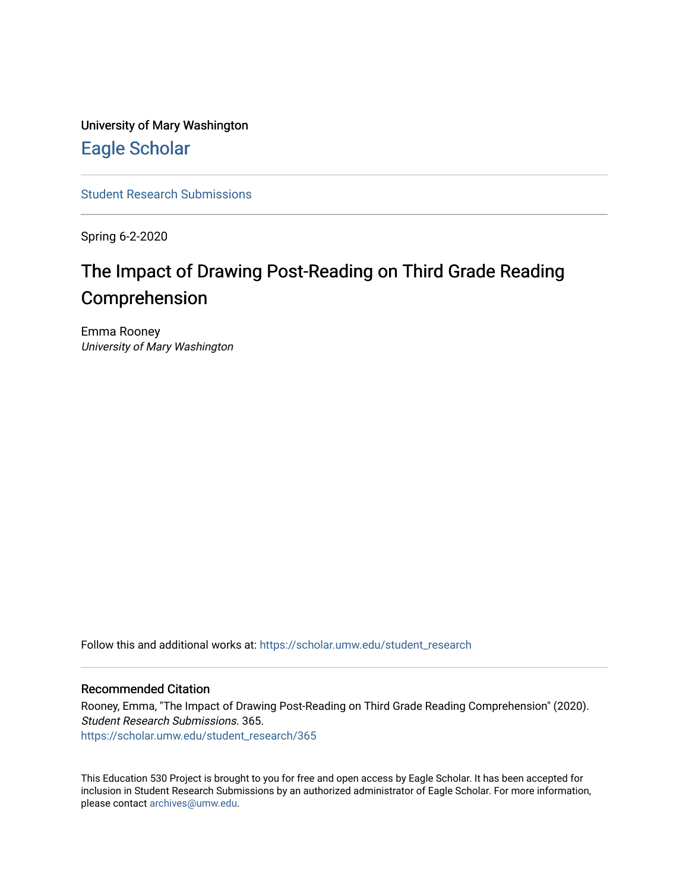University of Mary Washington [Eagle Scholar](https://scholar.umw.edu/) 

[Student Research Submissions](https://scholar.umw.edu/student_research) 

Spring 6-2-2020

# The Impact of Drawing Post-Reading on Third Grade Reading Comprehension

Emma Rooney University of Mary Washington

Follow this and additional works at: [https://scholar.umw.edu/student\\_research](https://scholar.umw.edu/student_research?utm_source=scholar.umw.edu%2Fstudent_research%2F365&utm_medium=PDF&utm_campaign=PDFCoverPages)

## Recommended Citation

Rooney, Emma, "The Impact of Drawing Post-Reading on Third Grade Reading Comprehension" (2020). Student Research Submissions. 365. [https://scholar.umw.edu/student\\_research/365](https://scholar.umw.edu/student_research/365?utm_source=scholar.umw.edu%2Fstudent_research%2F365&utm_medium=PDF&utm_campaign=PDFCoverPages)

This Education 530 Project is brought to you for free and open access by Eagle Scholar. It has been accepted for inclusion in Student Research Submissions by an authorized administrator of Eagle Scholar. For more information, please contact [archives@umw.edu.](mailto:archives@umw.edu)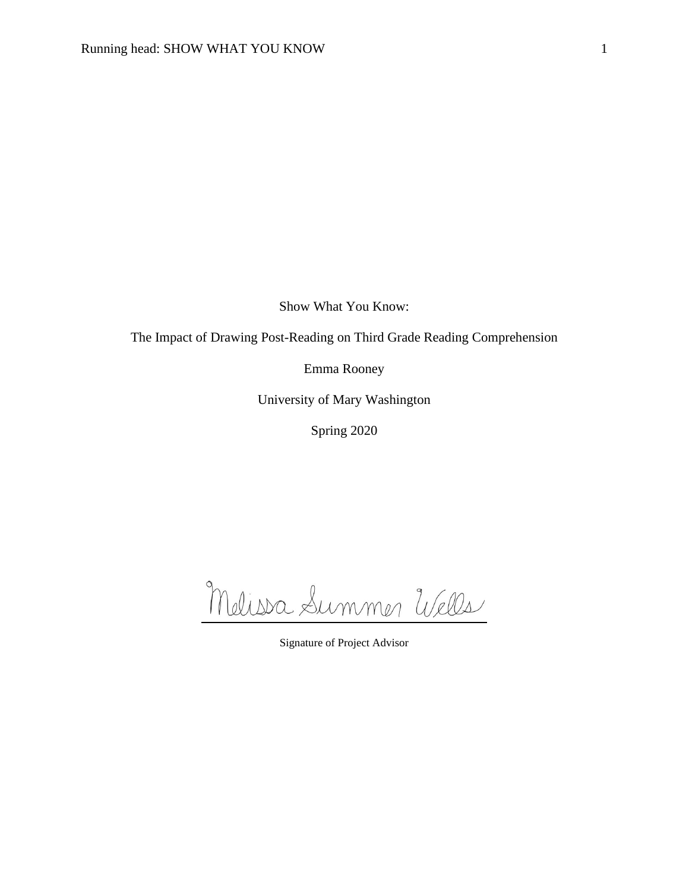Show What You Know:

The Impact of Drawing Post-Reading on Third Grade Reading Comprehension

Emma Rooney

University of Mary Washington

Spring 2020

Melissa Summer Wells

Signature of Project Advisor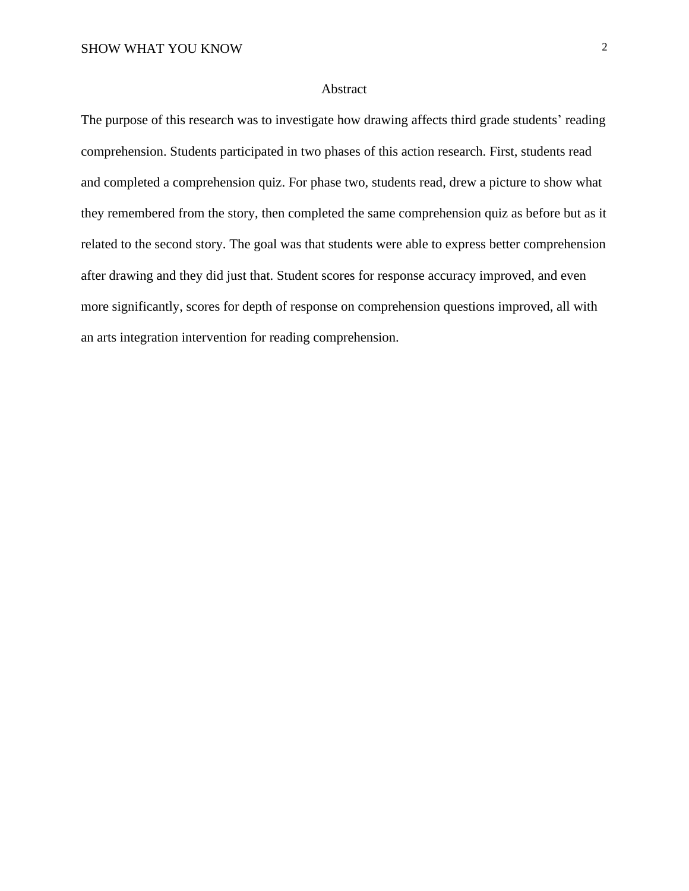## Abstract

The purpose of this research was to investigate how drawing affects third grade students' reading comprehension. Students participated in two phases of this action research. First, students read and completed a comprehension quiz. For phase two, students read, drew a picture to show what they remembered from the story, then completed the same comprehension quiz as before but as it related to the second story. The goal was that students were able to express better comprehension after drawing and they did just that. Student scores for response accuracy improved, and even more significantly, scores for depth of response on comprehension questions improved, all with an arts integration intervention for reading comprehension.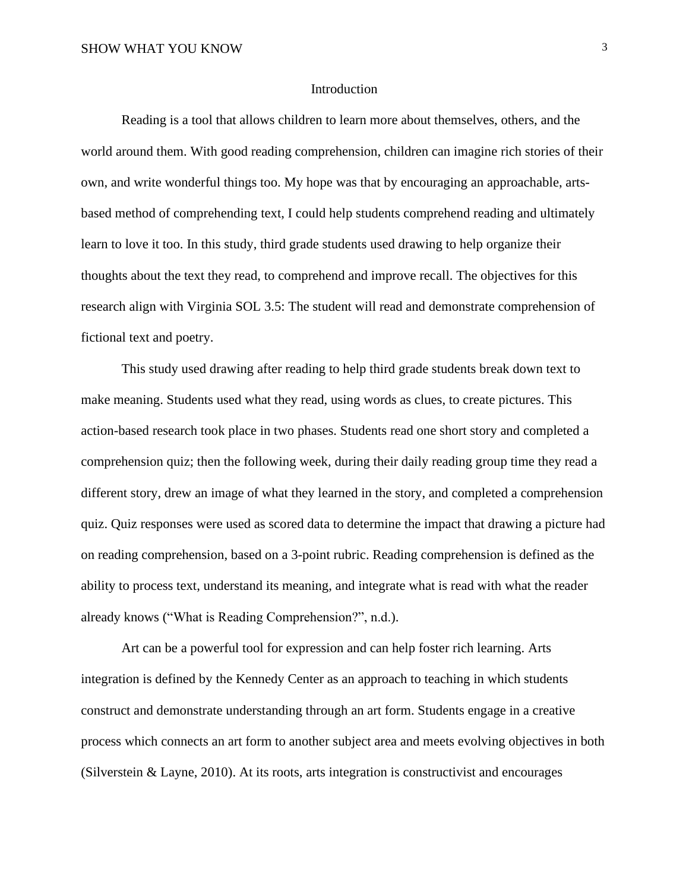#### Introduction

Reading is a tool that allows children to learn more about themselves, others, and the world around them. With good reading comprehension, children can imagine rich stories of their own, and write wonderful things too. My hope was that by encouraging an approachable, artsbased method of comprehending text, I could help students comprehend reading and ultimately learn to love it too. In this study, third grade students used drawing to help organize their thoughts about the text they read, to comprehend and improve recall. The objectives for this research align with Virginia SOL 3.5: The student will read and demonstrate comprehension of fictional text and poetry.

 This study used drawing after reading to help third grade students break down text to make meaning. Students used what they read, using words as clues, to create pictures. This action-based research took place in two phases. Students read one short story and completed a comprehension quiz; then the following week, during their daily reading group time they read a different story, drew an image of what they learned in the story, and completed a comprehension quiz. Quiz responses were used as scored data to determine the impact that drawing a picture had on reading comprehension, based on a 3-point rubric. Reading comprehension is defined as the ability to process text, understand its meaning, and integrate what is read with what the reader already knows ("What is Reading Comprehension?", n.d.).

Art can be a powerful tool for expression and can help foster rich learning. Arts integration is defined by the Kennedy Center as an approach to teaching in which students construct and demonstrate understanding through an art form. Students engage in a creative process which connects an art form to another subject area and meets evolving objectives in both (Silverstein  $&$  Layne, 2010). At its roots, arts integration is constructivist and encourages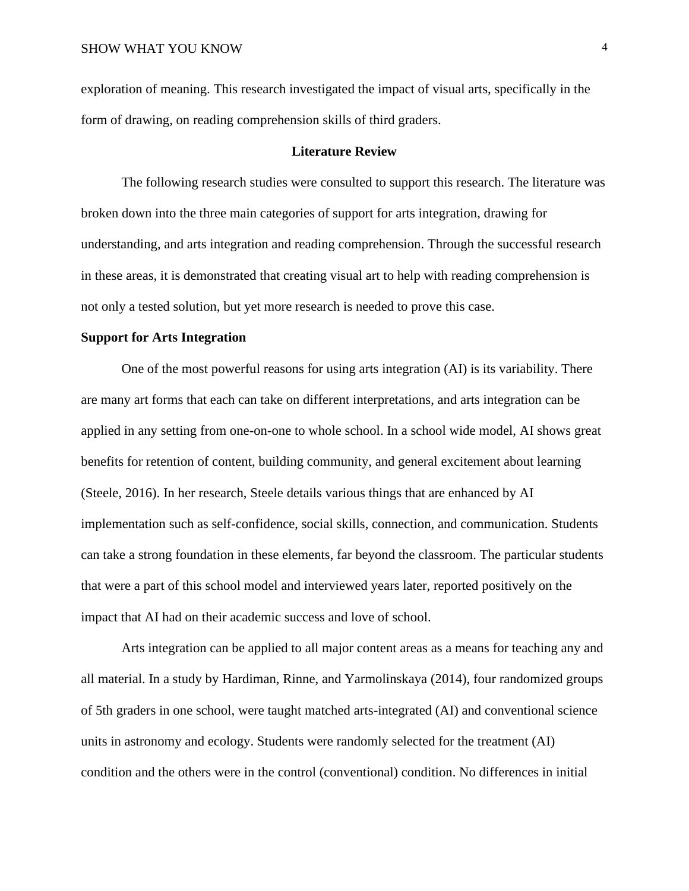exploration of meaning. This research investigated the impact of visual arts, specifically in the form of drawing, on reading comprehension skills of third graders.

#### **Literature Review**

The following research studies were consulted to support this research. The literature was broken down into the three main categories of support for arts integration, drawing for understanding, and arts integration and reading comprehension. Through the successful research in these areas, it is demonstrated that creating visual art to help with reading comprehension is not only a tested solution, but yet more research is needed to prove this case.

#### **Support for Arts Integration**

One of the most powerful reasons for using arts integration (AI) is its variability. There are many art forms that each can take on different interpretations, and arts integration can be applied in any setting from one-on-one to whole school. In a school wide model, AI shows great benefits for retention of content, building community, and general excitement about learning (Steele, 2016). In her research, Steele details various things that are enhanced by AI implementation such as self-confidence, social skills, connection, and communication. Students can take a strong foundation in these elements, far beyond the classroom. The particular students that were a part of this school model and interviewed years later, reported positively on the impact that AI had on their academic success and love of school.

Arts integration can be applied to all major content areas as a means for teaching any and all material. In a study by Hardiman, Rinne, and Yarmolinskaya (2014), four randomized groups of 5th graders in one school, were taught matched arts-integrated (AI) and conventional science units in astronomy and ecology. Students were randomly selected for the treatment (AI) condition and the others were in the control (conventional) condition. No differences in initial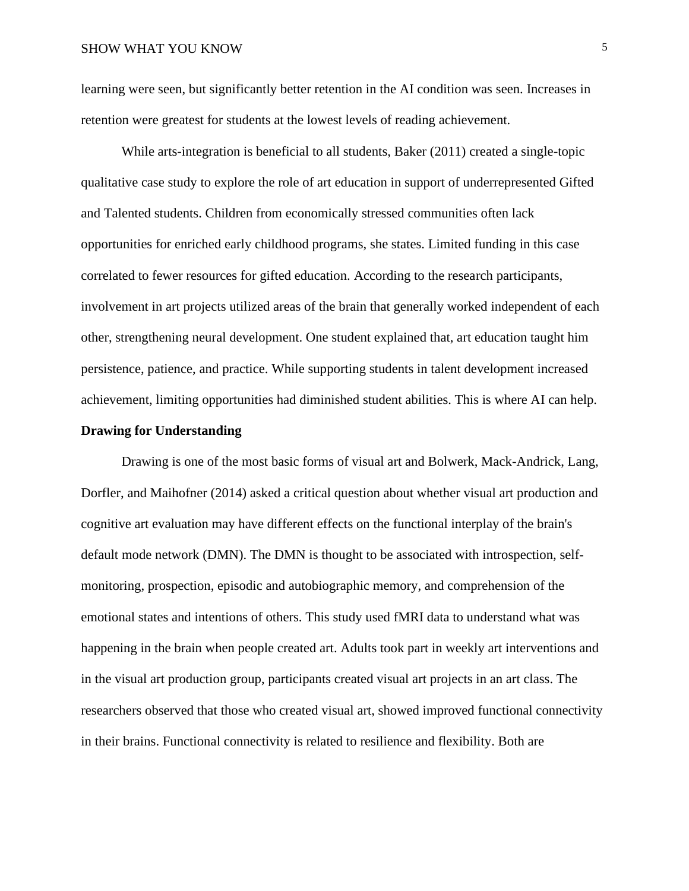learning were seen, but significantly better retention in the AI condition was seen. Increases in retention were greatest for students at the lowest levels of reading achievement.

While arts-integration is beneficial to all students, Baker (2011) created a single-topic qualitative case study to explore the role of art education in support of underrepresented Gifted and Talented students. Children from economically stressed communities often lack opportunities for enriched early childhood programs, she states. Limited funding in this case correlated to fewer resources for gifted education. According to the research participants, involvement in art projects utilized areas of the brain that generally worked independent of each other, strengthening neural development. One student explained that, art education taught him persistence, patience, and practice. While supporting students in talent development increased achievement, limiting opportunities had diminished student abilities. This is where AI can help.

## **Drawing for Understanding**

Drawing is one of the most basic forms of visual art and Bolwerk, Mack-Andrick, Lang, Dorfler, and Maihofner (2014) asked a critical question about whether visual art production and cognitive art evaluation may have different effects on the functional interplay of the brain's default mode network (DMN). The DMN is thought to be associated with introspection, selfmonitoring, prospection, episodic and autobiographic memory, and comprehension of the emotional states and intentions of others. This study used fMRI data to understand what was happening in the brain when people created art. Adults took part in weekly art interventions and in the visual art production group, participants created visual art projects in an art class. The researchers observed that those who created visual art, showed improved functional connectivity in their brains. Functional connectivity is related to resilience and flexibility. Both are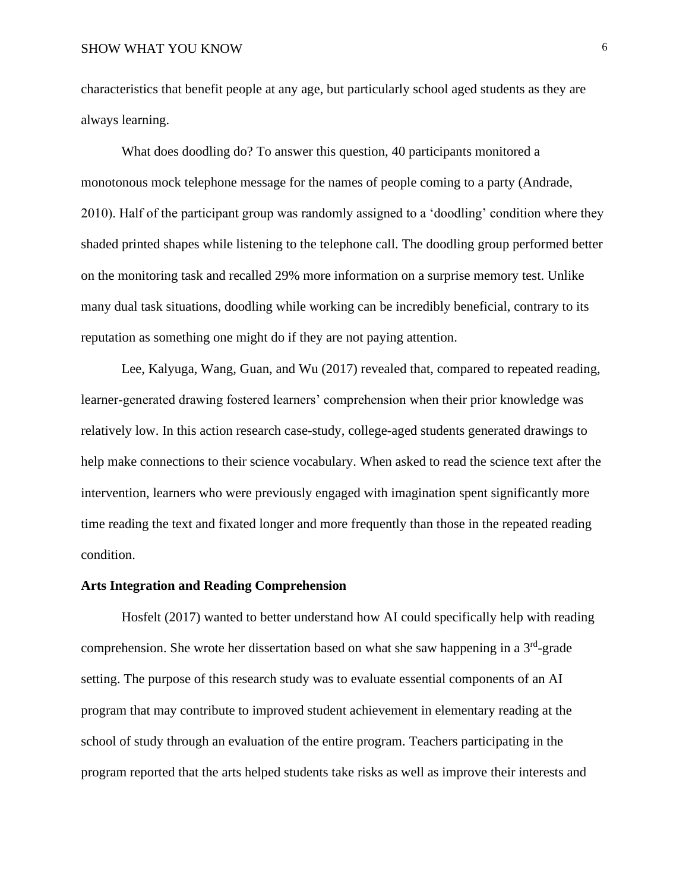characteristics that benefit people at any age, but particularly school aged students as they are always learning.

What does doodling do? To answer this question, 40 participants monitored a monotonous mock telephone message for the names of people coming to a party (Andrade, 2010). Half of the participant group was randomly assigned to a 'doodling' condition where they shaded printed shapes while listening to the telephone call. The doodling group performed better on the monitoring task and recalled 29% more information on a surprise memory test. Unlike many dual task situations, doodling while working can be incredibly beneficial, contrary to its reputation as something one might do if they are not paying attention.

Lee, Kalyuga, Wang, Guan, and Wu (2017) revealed that, compared to repeated reading, learner-generated drawing fostered learners' comprehension when their prior knowledge was relatively low. In this action research case-study, college-aged students generated drawings to help make connections to their science vocabulary. When asked to read the science text after the intervention, learners who were previously engaged with imagination spent significantly more time reading the text and fixated longer and more frequently than those in the repeated reading condition.

## **Arts Integration and Reading Comprehension**

Hosfelt (2017) wanted to better understand how AI could specifically help with reading comprehension. She wrote her dissertation based on what she saw happening in a  $3<sup>rd</sup>$ -grade setting. The purpose of this research study was to evaluate essential components of an AI program that may contribute to improved student achievement in elementary reading at the school of study through an evaluation of the entire program. Teachers participating in the program reported that the arts helped students take risks as well as improve their interests and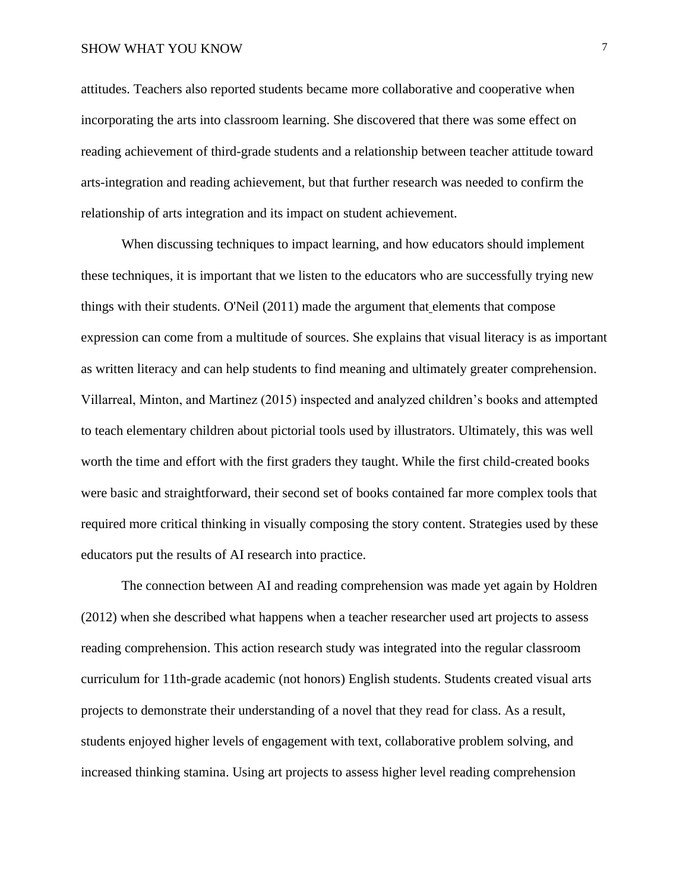attitudes. Teachers also reported students became more collaborative and cooperative when incorporating the arts into classroom learning. She discovered that there was some effect on reading achievement of third-grade students and a relationship between teacher attitude toward arts-integration and reading achievement, but that further research was needed to confirm the relationship of arts integration and its impact on student achievement.

When discussing techniques to impact learning, and how educators should implement these techniques, it is important that we listen to the educators who are successfully trying new things with their students. O'Neil (2011) made the argument that elements that compose expression can come from a multitude of sources. She explains that visual literacy is as important as written literacy and can help students to find meaning and ultimately greater comprehension. Villarreal, Minton, and Martinez (2015) inspected and analyzed children's books and attempted to teach elementary children about pictorial tools used by illustrators. Ultimately, this was well worth the time and effort with the first graders they taught. While the first child-created books were basic and straightforward, their second set of books contained far more complex tools that required more critical thinking in visually composing the story content. Strategies used by these educators put the results of AI research into practice.

The connection between AI and reading comprehension was made yet again by Holdren (2012) when she described what happens when a teacher researcher used art projects to assess reading comprehension. This action research study was integrated into the regular classroom curriculum for 11th-grade academic (not honors) English students. Students created visual arts projects to demonstrate their understanding of a novel that they read for class. As a result, students enjoyed higher levels of engagement with text, collaborative problem solving, and increased thinking stamina. Using art projects to assess higher level reading comprehension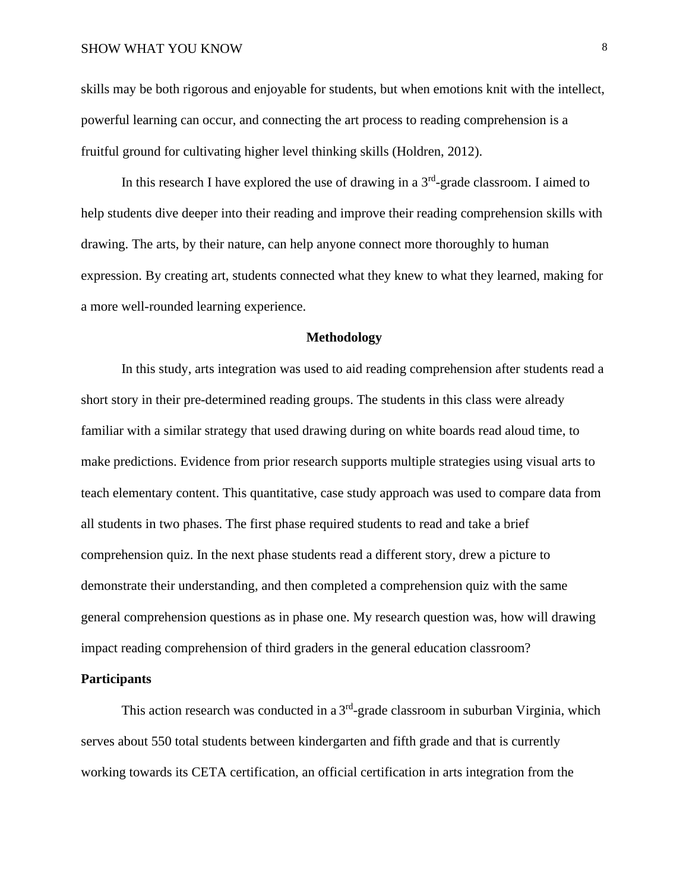skills may be both rigorous and enjoyable for students, but when emotions knit with the intellect, powerful learning can occur, and connecting the art process to reading comprehension is a fruitful ground for cultivating higher level thinking skills (Holdren, 2012).

In this research I have explored the use of drawing in a  $3<sup>rd</sup>$ -grade classroom. I aimed to help students dive deeper into their reading and improve their reading comprehension skills with drawing. The arts, by their nature, can help anyone connect more thoroughly to human expression. By creating art, students connected what they knew to what they learned, making for a more well-rounded learning experience.

## **Methodology**

In this study, arts integration was used to aid reading comprehension after students read a short story in their pre-determined reading groups. The students in this class were already familiar with a similar strategy that used drawing during on white boards read aloud time, to make predictions. Evidence from prior research supports multiple strategies using visual arts to teach elementary content. This quantitative, case study approach was used to compare data from all students in two phases. The first phase required students to read and take a brief comprehension quiz. In the next phase students read a different story, drew a picture to demonstrate their understanding, and then completed a comprehension quiz with the same general comprehension questions as in phase one. My research question was, how will drawing impact reading comprehension of third graders in the general education classroom?

## **Participants**

This action research was conducted in a  $3<sup>rd</sup>$ -grade classroom in suburban Virginia, which serves about 550 total students between kindergarten and fifth grade and that is currently working towards its CETA certification, an official certification in arts integration from the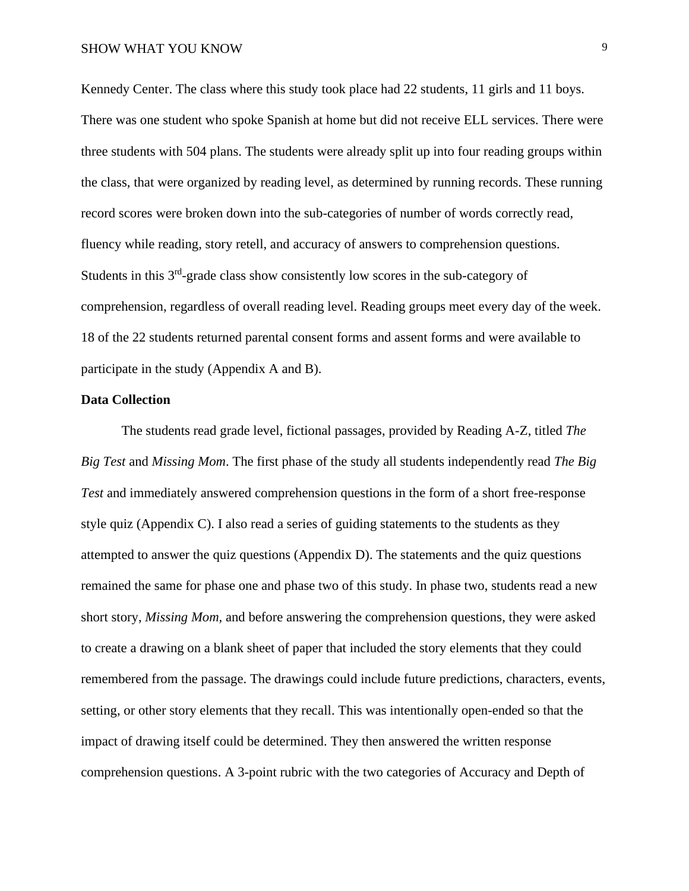Kennedy Center. The class where this study took place had 22 students, 11 girls and 11 boys. There was one student who spoke Spanish at home but did not receive ELL services. There were three students with 504 plans. The students were already split up into four reading groups within the class, that were organized by reading level, as determined by running records. These running record scores were broken down into the sub-categories of number of words correctly read, fluency while reading, story retell, and accuracy of answers to comprehension questions. Students in this 3<sup>rd</sup>-grade class show consistently low scores in the sub-category of comprehension, regardless of overall reading level. Reading groups meet every day of the week. 18 of the 22 students returned parental consent forms and assent forms and were available to participate in the study (Appendix A and B).

#### **Data Collection**

The students read grade level, fictional passages, provided by Reading A-Z, titled *The Big Test* and *Missing Mom*. The first phase of the study all students independently read *The Big Test* and immediately answered comprehension questions in the form of a short free-response style quiz (Appendix C). I also read a series of guiding statements to the students as they attempted to answer the quiz questions (Appendix D). The statements and the quiz questions remained the same for phase one and phase two of this study. In phase two, students read a new short story, *Missing Mom,* and before answering the comprehension questions, they were asked to create a drawing on a blank sheet of paper that included the story elements that they could remembered from the passage. The drawings could include future predictions, characters, events, setting, or other story elements that they recall. This was intentionally open-ended so that the impact of drawing itself could be determined. They then answered the written response comprehension questions. A 3-point rubric with the two categories of Accuracy and Depth of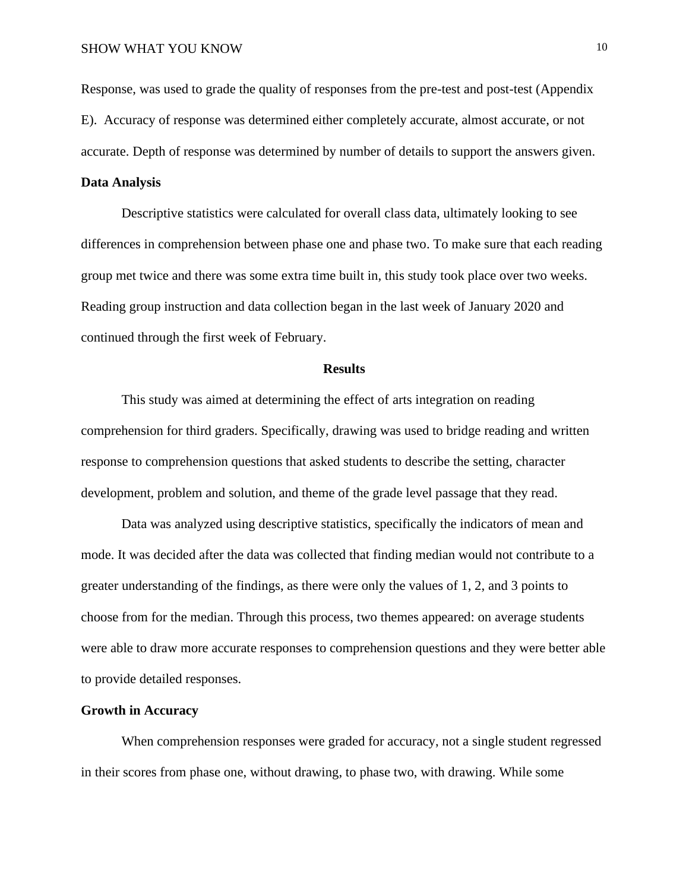Response, was used to grade the quality of responses from the pre-test and post-test (Appendix E). Accuracy of response was determined either completely accurate, almost accurate, or not accurate. Depth of response was determined by number of details to support the answers given.

## **Data Analysis**

Descriptive statistics were calculated for overall class data, ultimately looking to see differences in comprehension between phase one and phase two. To make sure that each reading group met twice and there was some extra time built in, this study took place over two weeks. Reading group instruction and data collection began in the last week of January 2020 and continued through the first week of February.

## **Results**

This study was aimed at determining the effect of arts integration on reading comprehension for third graders. Specifically, drawing was used to bridge reading and written response to comprehension questions that asked students to describe the setting, character development, problem and solution, and theme of the grade level passage that they read.

Data was analyzed using descriptive statistics, specifically the indicators of mean and mode. It was decided after the data was collected that finding median would not contribute to a greater understanding of the findings, as there were only the values of 1, 2, and 3 points to choose from for the median. Through this process, two themes appeared: on average students were able to draw more accurate responses to comprehension questions and they were better able to provide detailed responses.

## **Growth in Accuracy**

When comprehension responses were graded for accuracy, not a single student regressed in their scores from phase one, without drawing, to phase two, with drawing. While some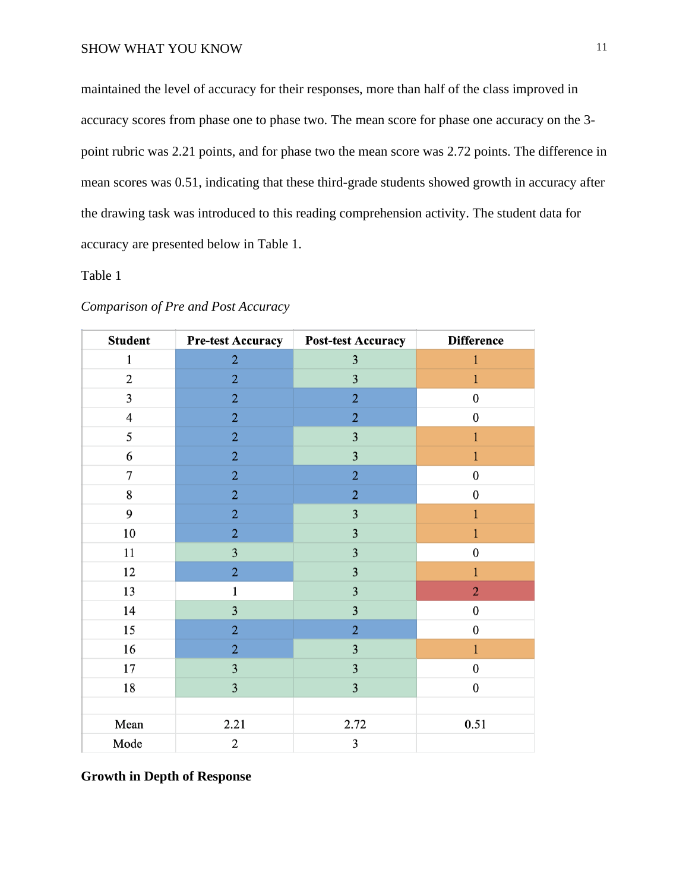maintained the level of accuracy for their responses, more than half of the class improved in accuracy scores from phase one to phase two. The mean score for phase one accuracy on the 3 point rubric was 2.21 points, and for phase two the mean score was 2.72 points. The difference in mean scores was 0.51, indicating that these third-grade students showed growth in accuracy after the drawing task was introduced to this reading comprehension activity. The student data for accuracy are presented below in Table 1.

# Table 1

| <b>Student</b>          | <b>Pre-test Accuracy</b> | <b>Post-test Accuracy</b> | <b>Difference</b> |
|-------------------------|--------------------------|---------------------------|-------------------|
| 1                       | $\overline{2}$           | $\overline{\mathbf{3}}$   | $\mathbf{1}$      |
| $\overline{2}$          | $\overline{2}$           | $\overline{3}$            | $\mathbf{1}$      |
| 3                       | $\overline{2}$           | $\overline{2}$            | $\pmb{0}$         |
| $\overline{\mathbf{4}}$ | $\overline{2}$           | $\overline{2}$            | $\boldsymbol{0}$  |
| 5                       | $\overline{2}$           | 3                         | $\mathbf{1}$      |
| 6                       | $\overline{2}$           | $\overline{\mathbf{3}}$   | $\mathbf{1}$      |
| 7                       | $\overline{2}$           | $\overline{2}$            | $\bf{0}$          |
| 8                       | $\overline{2}$           | $\overline{2}$            | $\boldsymbol{0}$  |
| 9                       | $\overline{2}$           | 3                         | $\mathbf{1}$      |
| 10                      | $\overline{2}$           | 3                         | 1                 |
| 11                      | $\overline{\mathbf{3}}$  | $\overline{\mathbf{3}}$   | $\boldsymbol{0}$  |
| 12                      | $\overline{2}$           | $\overline{\mathbf{3}}$   | $\mathbf{1}$      |
| 13                      | 1                        | 3                         | $\overline{2}$    |
| 14                      | 3                        | 3                         | $\boldsymbol{0}$  |
| 15                      | $\overline{2}$           | $\overline{2}$            | $\boldsymbol{0}$  |
| 16                      | $\overline{2}$           | 3                         | $\mathbf{1}$      |
| 17                      | $\overline{\mathbf{3}}$  | $\overline{\mathbf{3}}$   | $\boldsymbol{0}$  |
| 18                      | $\overline{3}$           | 3                         | $\boldsymbol{0}$  |
|                         |                          |                           |                   |
| Mean                    | 2.21                     | 2.72                      | 0.51              |
| Mode                    | $\overline{2}$           | 3                         |                   |

## *Comparison of Pre and Post Accuracy*

**Growth in Depth of Response**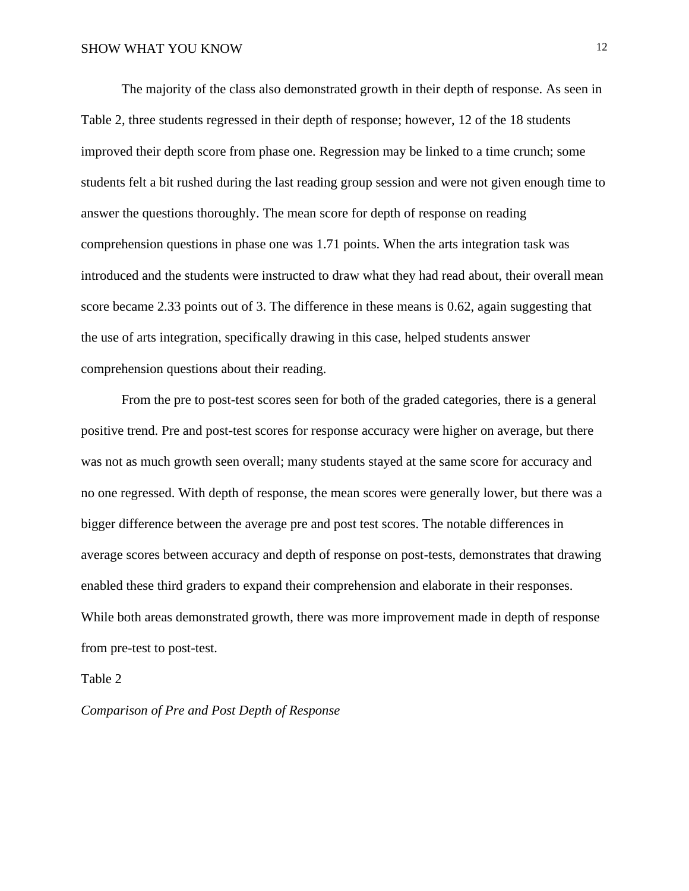The majority of the class also demonstrated growth in their depth of response. As seen in Table 2, three students regressed in their depth of response; however, 12 of the 18 students improved their depth score from phase one. Regression may be linked to a time crunch; some students felt a bit rushed during the last reading group session and were not given enough time to answer the questions thoroughly. The mean score for depth of response on reading comprehension questions in phase one was 1.71 points. When the arts integration task was introduced and the students were instructed to draw what they had read about, their overall mean score became 2.33 points out of 3. The difference in these means is 0.62, again suggesting that the use of arts integration, specifically drawing in this case, helped students answer comprehension questions about their reading.

From the pre to post-test scores seen for both of the graded categories, there is a general positive trend. Pre and post-test scores for response accuracy were higher on average, but there was not as much growth seen overall; many students stayed at the same score for accuracy and no one regressed. With depth of response, the mean scores were generally lower, but there was a bigger difference between the average pre and post test scores. The notable differences in average scores between accuracy and depth of response on post-tests, demonstrates that drawing enabled these third graders to expand their comprehension and elaborate in their responses. While both areas demonstrated growth, there was more improvement made in depth of response from pre-test to post-test.

## Table 2

## *Comparison of Pre and Post Depth of Response*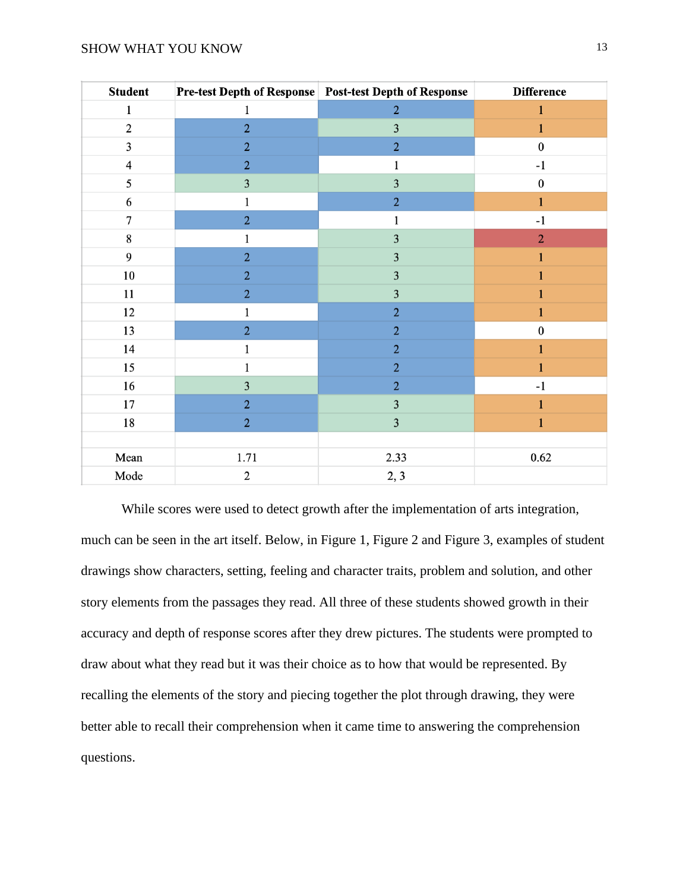| <b>Student</b>          |                | Pre-test Depth of Response Post-test Depth of Response | <b>Difference</b> |
|-------------------------|----------------|--------------------------------------------------------|-------------------|
| $\mathbf{1}$            | $\mathbf{1}$   | $\overline{2}$                                         | $\mathbf{1}$      |
| $\mathbf{2}$            | $\overline{2}$ | 3                                                      | $\mathbf{1}$      |
| $\mathfrak{Z}$          | $\overline{2}$ | $\overline{2}$                                         | $\boldsymbol{0}$  |
| $\overline{\mathbf{4}}$ | $\overline{2}$ | 1                                                      | $-1$              |
| 5                       | $\mathbf{3}$   | 3                                                      | $\boldsymbol{0}$  |
| 6                       | 1              | $\overline{2}$                                         | 1                 |
| $\boldsymbol{7}$        | $\overline{2}$ | 1                                                      | $-1$              |
| 8                       | 1              | $\overline{\mathbf{3}}$                                | $\overline{2}$    |
| 9                       | $\overline{2}$ | $\mathbf{3}$                                           | 1                 |
| $10\,$                  | $\overline{2}$ | $\overline{\mathbf{3}}$                                |                   |
| 11                      | $\overline{2}$ | 3                                                      |                   |
| 12                      |                | $\overline{2}$                                         | 1                 |
| 13                      | $\overline{2}$ | $\overline{2}$                                         | $\pmb{0}$         |
| 14                      | 1              | $\overline{2}$                                         | 1                 |
| 15                      |                | $\overline{2}$                                         |                   |
| 16                      | 3              | $\overline{2}$                                         | $-1$              |
| 17                      | $\overline{2}$ | $\overline{\mathbf{3}}$                                | 1                 |
| 18                      | $\overline{2}$ | $\overline{3}$                                         |                   |
|                         |                |                                                        |                   |
| Mean                    | 1.71           | 2.33                                                   | 0.62              |
| Mode                    | $\mathbf{2}$   | 2, 3                                                   |                   |

While scores were used to detect growth after the implementation of arts integration, much can be seen in the art itself. Below, in Figure 1, Figure 2 and Figure 3, examples of student drawings show characters, setting, feeling and character traits, problem and solution, and other story elements from the passages they read. All three of these students showed growth in their accuracy and depth of response scores after they drew pictures. The students were prompted to draw about what they read but it was their choice as to how that would be represented. By recalling the elements of the story and piecing together the plot through drawing, they were better able to recall their comprehension when it came time to answering the comprehension questions.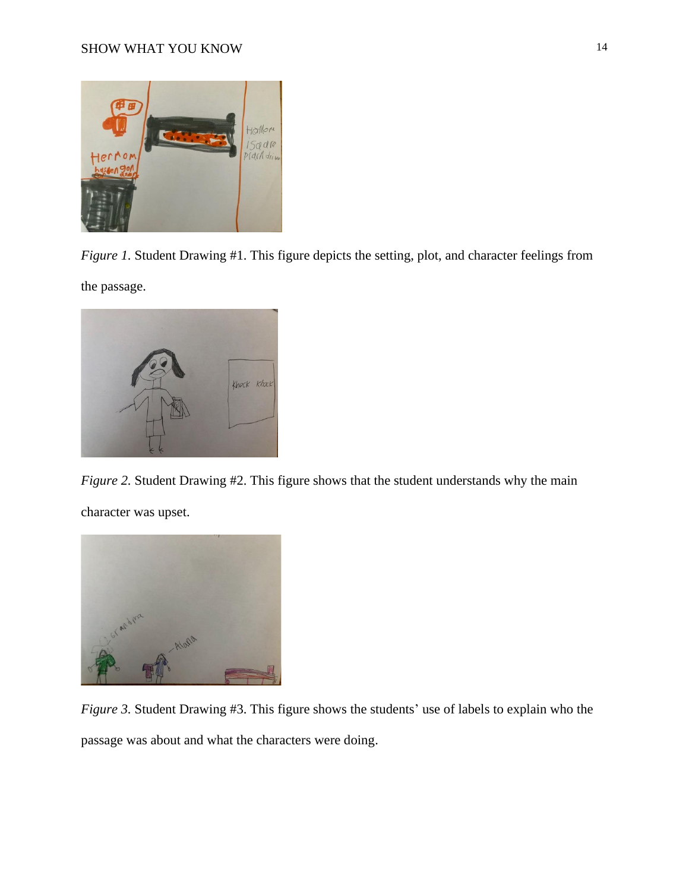

*Figure 1.* Student Drawing #1. This figure depicts the setting, plot, and character feelings from

the passage.



*Figure 2.* Student Drawing #2. This figure shows that the student understands why the main character was upset.



*Figure 3.* Student Drawing #3. This figure shows the students' use of labels to explain who the passage was about and what the characters were doing.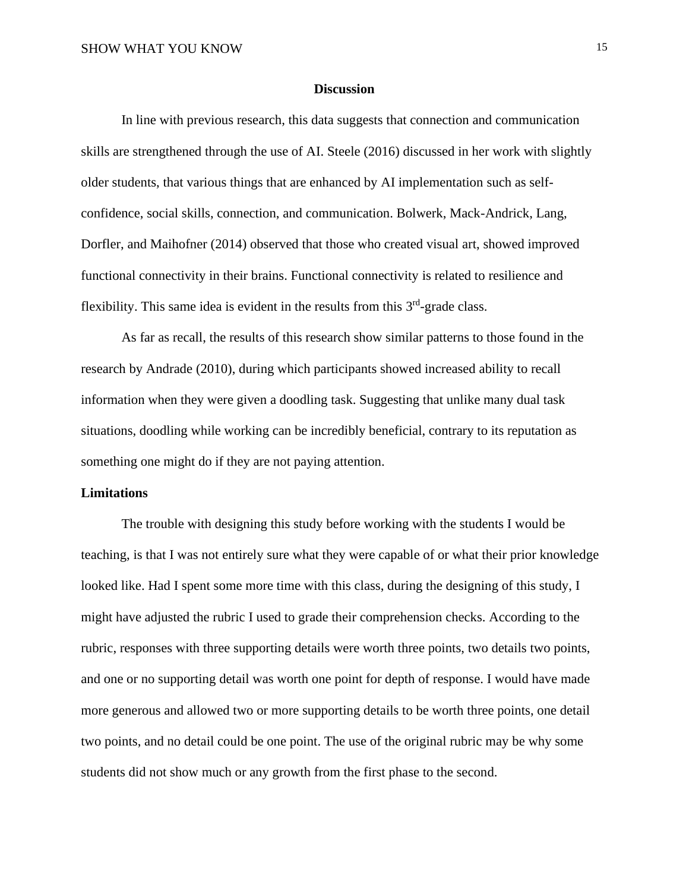## **Discussion**

In line with previous research, this data suggests that connection and communication skills are strengthened through the use of AI. Steele (2016) discussed in her work with slightly older students, that various things that are enhanced by AI implementation such as selfconfidence, social skills, connection, and communication. Bolwerk, Mack-Andrick, Lang, Dorfler, and Maihofner (2014) observed that those who created visual art, showed improved functional connectivity in their brains. Functional connectivity is related to resilience and flexibility. This same idea is evident in the results from this  $3<sup>rd</sup>$ -grade class.

As far as recall, the results of this research show similar patterns to those found in the research by Andrade (2010), during which participants showed increased ability to recall information when they were given a doodling task. Suggesting that unlike many dual task situations, doodling while working can be incredibly beneficial, contrary to its reputation as something one might do if they are not paying attention.

## **Limitations**

The trouble with designing this study before working with the students I would be teaching, is that I was not entirely sure what they were capable of or what their prior knowledge looked like. Had I spent some more time with this class, during the designing of this study, I might have adjusted the rubric I used to grade their comprehension checks. According to the rubric, responses with three supporting details were worth three points, two details two points, and one or no supporting detail was worth one point for depth of response. I would have made more generous and allowed two or more supporting details to be worth three points, one detail two points, and no detail could be one point. The use of the original rubric may be why some students did not show much or any growth from the first phase to the second.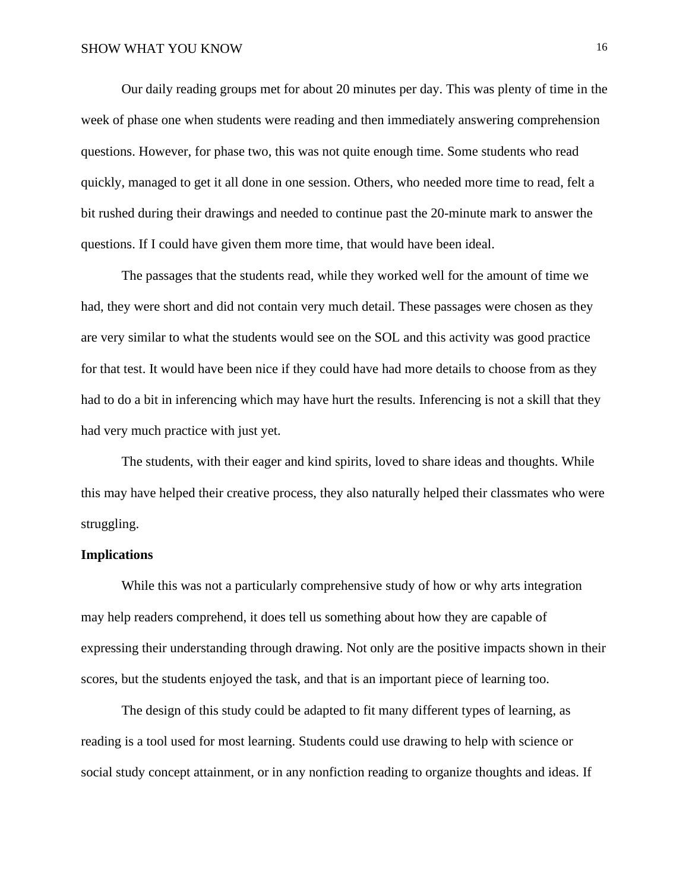Our daily reading groups met for about 20 minutes per day. This was plenty of time in the week of phase one when students were reading and then immediately answering comprehension questions. However, for phase two, this was not quite enough time. Some students who read quickly, managed to get it all done in one session. Others, who needed more time to read, felt a bit rushed during their drawings and needed to continue past the 20-minute mark to answer the questions. If I could have given them more time, that would have been ideal.

The passages that the students read, while they worked well for the amount of time we had, they were short and did not contain very much detail. These passages were chosen as they are very similar to what the students would see on the SOL and this activity was good practice for that test. It would have been nice if they could have had more details to choose from as they had to do a bit in inferencing which may have hurt the results. Inferencing is not a skill that they had very much practice with just yet.

The students, with their eager and kind spirits, loved to share ideas and thoughts. While this may have helped their creative process, they also naturally helped their classmates who were struggling.

## **Implications**

While this was not a particularly comprehensive study of how or why arts integration may help readers comprehend, it does tell us something about how they are capable of expressing their understanding through drawing. Not only are the positive impacts shown in their scores, but the students enjoyed the task, and that is an important piece of learning too.

The design of this study could be adapted to fit many different types of learning, as reading is a tool used for most learning. Students could use drawing to help with science or social study concept attainment, or in any nonfiction reading to organize thoughts and ideas. If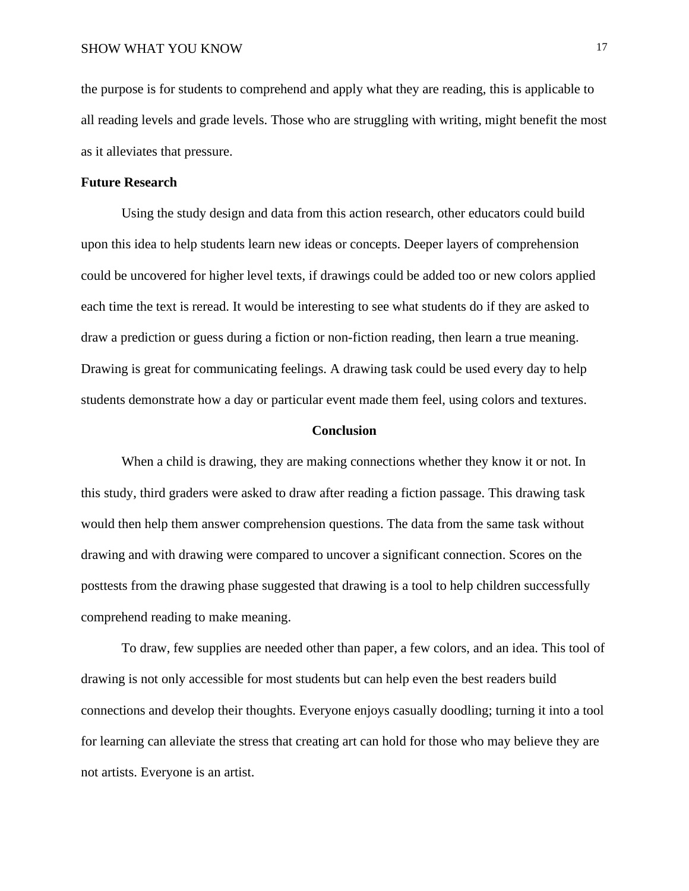the purpose is for students to comprehend and apply what they are reading, this is applicable to all reading levels and grade levels. Those who are struggling with writing, might benefit the most as it alleviates that pressure.

## **Future Research**

Using the study design and data from this action research, other educators could build upon this idea to help students learn new ideas or concepts. Deeper layers of comprehension could be uncovered for higher level texts, if drawings could be added too or new colors applied each time the text is reread. It would be interesting to see what students do if they are asked to draw a prediction or guess during a fiction or non-fiction reading, then learn a true meaning. Drawing is great for communicating feelings. A drawing task could be used every day to help students demonstrate how a day or particular event made them feel, using colors and textures.

#### **Conclusion**

When a child is drawing, they are making connections whether they know it or not. In this study, third graders were asked to draw after reading a fiction passage. This drawing task would then help them answer comprehension questions. The data from the same task without drawing and with drawing were compared to uncover a significant connection. Scores on the posttests from the drawing phase suggested that drawing is a tool to help children successfully comprehend reading to make meaning.

To draw, few supplies are needed other than paper, a few colors, and an idea. This tool of drawing is not only accessible for most students but can help even the best readers build connections and develop their thoughts. Everyone enjoys casually doodling; turning it into a tool for learning can alleviate the stress that creating art can hold for those who may believe they are not artists. Everyone is an artist.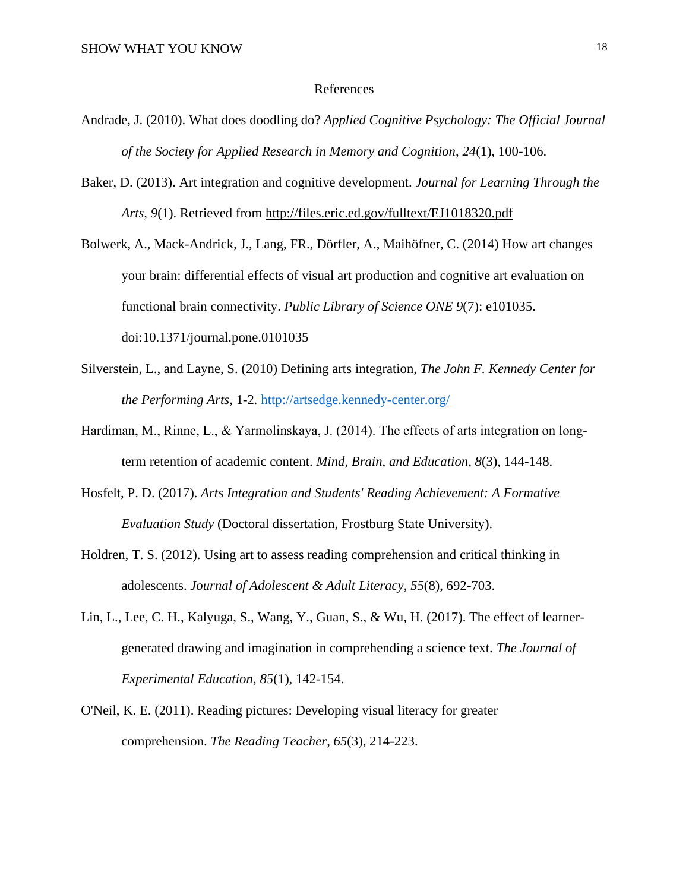#### References

- Andrade, J. (2010). What does doodling do? *Applied Cognitive Psychology: The Official Journal of the Society for Applied Research in Memory and Cognition*, *24*(1), 100-106.
- Baker, D. (2013). Art integration and cognitive development. *Journal for Learning Through the Arts, 9*(1). Retrieved from<http://files.eric.ed.gov/fulltext/EJ1018320.pdf>

Bolwerk, A., Mack-Andrick, J., Lang, FR., Dörfler, A., Maihöfner, C. (2014) How art changes your brain: differential effects of visual art production and cognitive art evaluation on functional brain connectivity. *Public Library of Science ONE 9*(7): e101035. doi:10.1371/journal.pone.0101035

- Silverstein, L., and Layne, S. (2010) Defining arts integration, *The John F. Kennedy Center for the Performing Arts,* 1-2*.* <http://artsedge.kennedy-center.org/>
- Hardiman, M., Rinne, L., & Yarmolinskaya, J. (2014). The effects of arts integration on longterm retention of academic content. *Mind, Brain, and Education*, *8*(3), 144-148.
- Hosfelt, P. D. (2017). *Arts Integration and Students' Reading Achievement: A Formative Evaluation Study* (Doctoral dissertation, Frostburg State University).
- Holdren, T. S. (2012). Using art to assess reading comprehension and critical thinking in adolescents. *Journal of Adolescent & Adult Literacy*, *55*(8), 692-703.
- Lin, L., Lee, C. H., Kalyuga, S., Wang, Y., Guan, S., & Wu, H. (2017). The effect of learnergenerated drawing and imagination in comprehending a science text. *The Journal of Experimental Education*, *85*(1), 142-154.
- O'Neil, K. E. (2011). Reading pictures: Developing visual literacy for greater comprehension. *The Reading Teacher*, *65*(3), 214-223.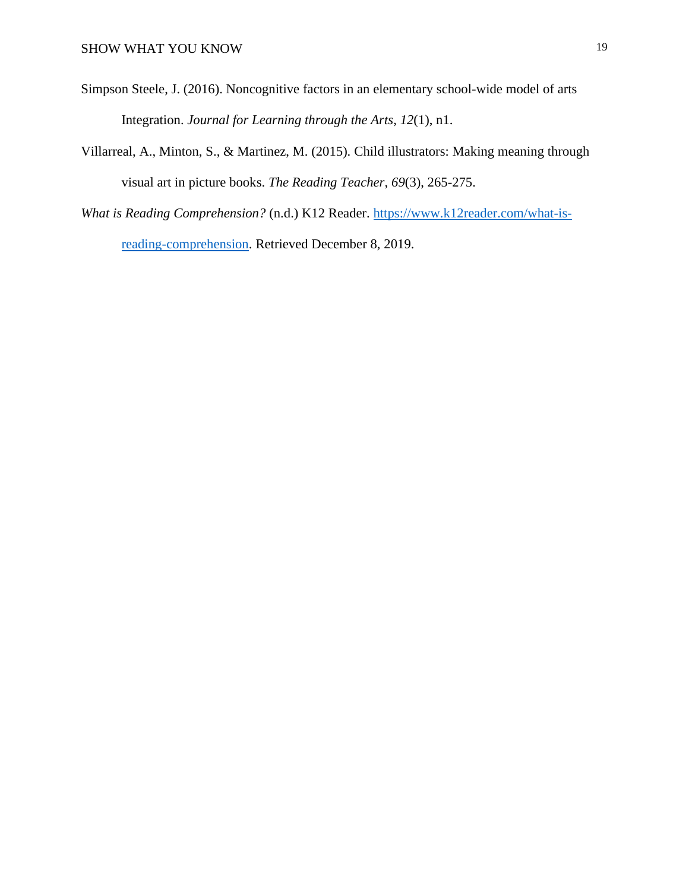- Simpson Steele, J. (2016). Noncognitive factors in an elementary school-wide model of arts Integration. *Journal for Learning through the Arts*, *12*(1), n1.
- Villarreal, A., Minton, S., & Martinez, M. (2015). Child illustrators: Making meaning through visual art in picture books. *The Reading Teacher*, *69*(3), 265-275.
- *What is Reading Comprehension?* (n.d.) K12 Reader. [https://www.k12reader.com/what-is](https://www.k12reader.com/what-is-reading-comprehension)[reading-comprehension.](https://www.k12reader.com/what-is-reading-comprehension) Retrieved December 8, 2019.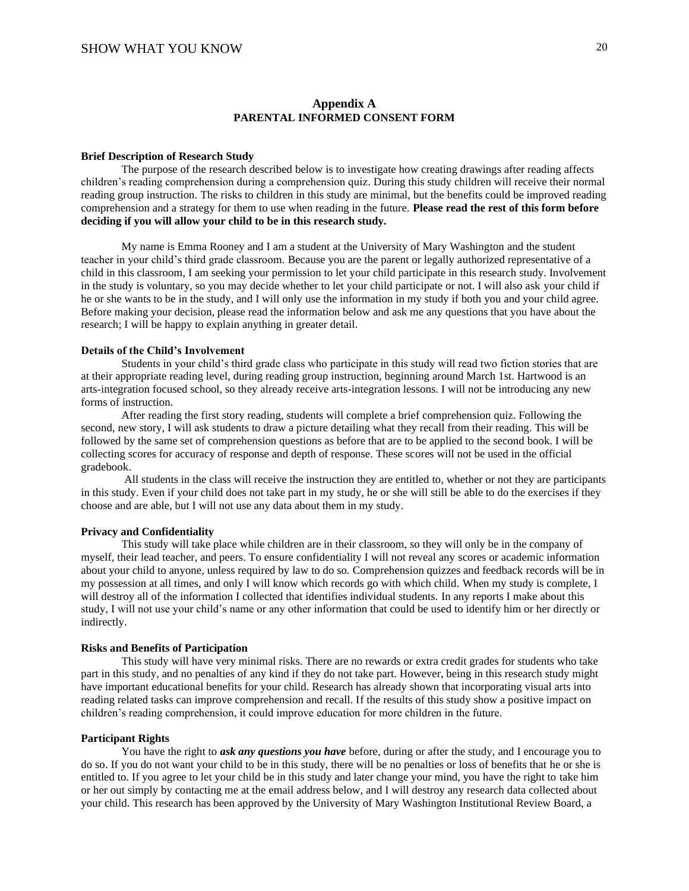#### **Appendix A PARENTAL INFORMED CONSENT FORM**

#### **Brief Description of Research Study**

The purpose of the research described below is to investigate how creating drawings after reading affects children's reading comprehension during a comprehension quiz. During this study children will receive their normal reading group instruction. The risks to children in this study are minimal, but the benefits could be improved reading comprehension and a strategy for them to use when reading in the future. **Please read the rest of this form before deciding if you will allow your child to be in this research study.**

My name is Emma Rooney and I am a student at the University of Mary Washington and the student teacher in your child's third grade classroom. Because you are the parent or legally authorized representative of a child in this classroom, I am seeking your permission to let your child participate in this research study. Involvement in the study is voluntary, so you may decide whether to let your child participate or not. I will also ask your child if he or she wants to be in the study, and I will only use the information in my study if both you and your child agree. Before making your decision, please read the information below and ask me any questions that you have about the research; I will be happy to explain anything in greater detail.

#### **Details of the Child's Involvement**

Students in your child's third grade class who participate in this study will read two fiction stories that are at their appropriate reading level, during reading group instruction, beginning around March 1st. Hartwood is an arts-integration focused school, so they already receive arts-integration lessons. I will not be introducing any new forms of instruction.

After reading the first story reading, students will complete a brief comprehension quiz. Following the second, new story, I will ask students to draw a picture detailing what they recall from their reading. This will be followed by the same set of comprehension questions as before that are to be applied to the second book. I will be collecting scores for accuracy of response and depth of response. These scores will not be used in the official gradebook.

All students in the class will receive the instruction they are entitled to, whether or not they are participants in this study. Even if your child does not take part in my study, he or she will still be able to do the exercises if they choose and are able, but I will not use any data about them in my study.

#### **Privacy and Confidentiality**

This study will take place while children are in their classroom, so they will only be in the company of myself, their lead teacher, and peers. To ensure confidentiality I will not reveal any scores or academic information about your child to anyone, unless required by law to do so. Comprehension quizzes and feedback records will be in my possession at all times, and only I will know which records go with which child. When my study is complete, I will destroy all of the information I collected that identifies individual students. In any reports I make about this study, I will not use your child's name or any other information that could be used to identify him or her directly or indirectly.

#### **Risks and Benefits of Participation**

This study will have very minimal risks. There are no rewards or extra credit grades for students who take part in this study, and no penalties of any kind if they do not take part. However, being in this research study might have important educational benefits for your child. Research has already shown that incorporating visual arts into reading related tasks can improve comprehension and recall. If the results of this study show a positive impact on children's reading comprehension, it could improve education for more children in the future.

#### **Participant Rights**

You have the right to *ask any questions you have* before, during or after the study, and I encourage you to do so. If you do not want your child to be in this study, there will be no penalties or loss of benefits that he or she is entitled to. If you agree to let your child be in this study and later change your mind, you have the right to take him or her out simply by contacting me at the email address below, and I will destroy any research data collected about your child. This research has been approved by the University of Mary Washington Institutional Review Board, a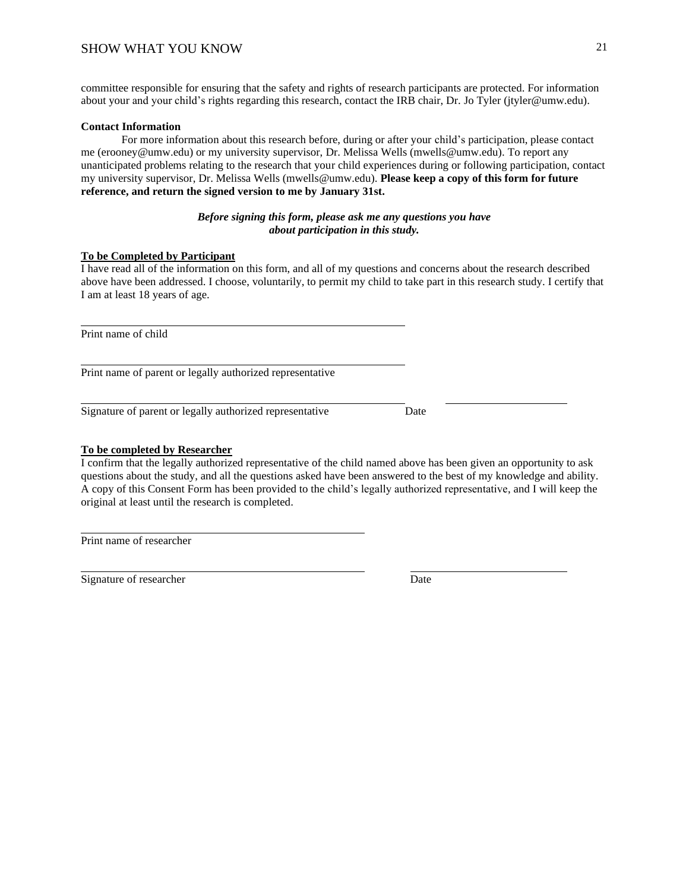committee responsible for ensuring that the safety and rights of research participants are protected. For information about your and your child's rights regarding this research, contact the IRB chair, Dr. Jo Tyler (jtyler@umw.edu).

#### **Contact Information**

For more information about this research before, during or after your child's participation, please contact me (erooney@umw.edu) or my university supervisor, Dr. Melissa Wells (mwells@umw.edu). To report any unanticipated problems relating to the research that your child experiences during or following participation, contact my university supervisor, Dr. Melissa Wells (mwells@umw.edu). **Please keep a copy of this form for future reference, and return the signed version to me by January 31st.**

#### *Before signing this form, please ask me any questions you have about participation in this study.*

## **To be Completed by Participant**

I have read all of the information on this form, and all of my questions and concerns about the research described above have been addressed. I choose, voluntarily, to permit my child to take part in this research study. I certify that I am at least 18 years of age.

Print name of child

Print name of parent or legally authorized representative

Signature of parent or legally authorized representative Date

**To be completed by Researcher**

I confirm that the legally authorized representative of the child named above has been given an opportunity to ask questions about the study, and all the questions asked have been answered to the best of my knowledge and ability. A copy of this Consent Form has been provided to the child's legally authorized representative, and I will keep the original at least until the research is completed.

Print name of researcher

Signature of researcher Date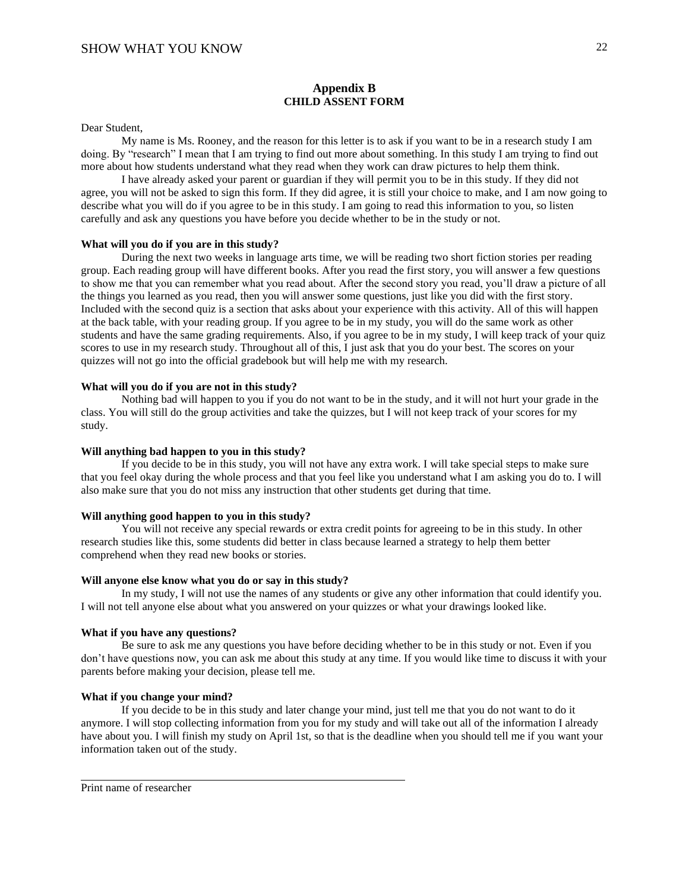#### **Appendix B CHILD ASSENT FORM**

Dear Student,

My name is Ms. Rooney, and the reason for this letter is to ask if you want to be in a research study I am doing. By "research" I mean that I am trying to find out more about something. In this study I am trying to find out more about how students understand what they read when they work can draw pictures to help them think.

I have already asked your parent or guardian if they will permit you to be in this study. If they did not agree, you will not be asked to sign this form. If they did agree, it is still your choice to make, and I am now going to describe what you will do if you agree to be in this study. I am going to read this information to you, so listen carefully and ask any questions you have before you decide whether to be in the study or not.

#### **What will you do if you are in this study?**

During the next two weeks in language arts time, we will be reading two short fiction stories per reading group. Each reading group will have different books. After you read the first story, you will answer a few questions to show me that you can remember what you read about. After the second story you read, you'll draw a picture of all the things you learned as you read, then you will answer some questions, just like you did with the first story. Included with the second quiz is a section that asks about your experience with this activity. All of this will happen at the back table, with your reading group. If you agree to be in my study, you will do the same work as other students and have the same grading requirements. Also, if you agree to be in my study, I will keep track of your quiz scores to use in my research study. Throughout all of this, I just ask that you do your best. The scores on your quizzes will not go into the official gradebook but will help me with my research.

#### **What will you do if you are not in this study?**

Nothing bad will happen to you if you do not want to be in the study, and it will not hurt your grade in the class. You will still do the group activities and take the quizzes, but I will not keep track of your scores for my study.

#### **Will anything bad happen to you in this study?**

If you decide to be in this study, you will not have any extra work. I will take special steps to make sure that you feel okay during the whole process and that you feel like you understand what I am asking you do to. I will also make sure that you do not miss any instruction that other students get during that time.

#### **Will anything good happen to you in this study?**

You will not receive any special rewards or extra credit points for agreeing to be in this study. In other research studies like this, some students did better in class because learned a strategy to help them better comprehend when they read new books or stories.

#### **Will anyone else know what you do or say in this study?**

In my study, I will not use the names of any students or give any other information that could identify you. I will not tell anyone else about what you answered on your quizzes or what your drawings looked like.

#### **What if you have any questions?**

Be sure to ask me any questions you have before deciding whether to be in this study or not. Even if you don't have questions now, you can ask me about this study at any time. If you would like time to discuss it with your parents before making your decision, please tell me.

#### **What if you change your mind?**

If you decide to be in this study and later change your mind, just tell me that you do not want to do it anymore. I will stop collecting information from you for my study and will take out all of the information I already have about you. I will finish my study on April 1st, so that is the deadline when you should tell me if you want your information taken out of the study.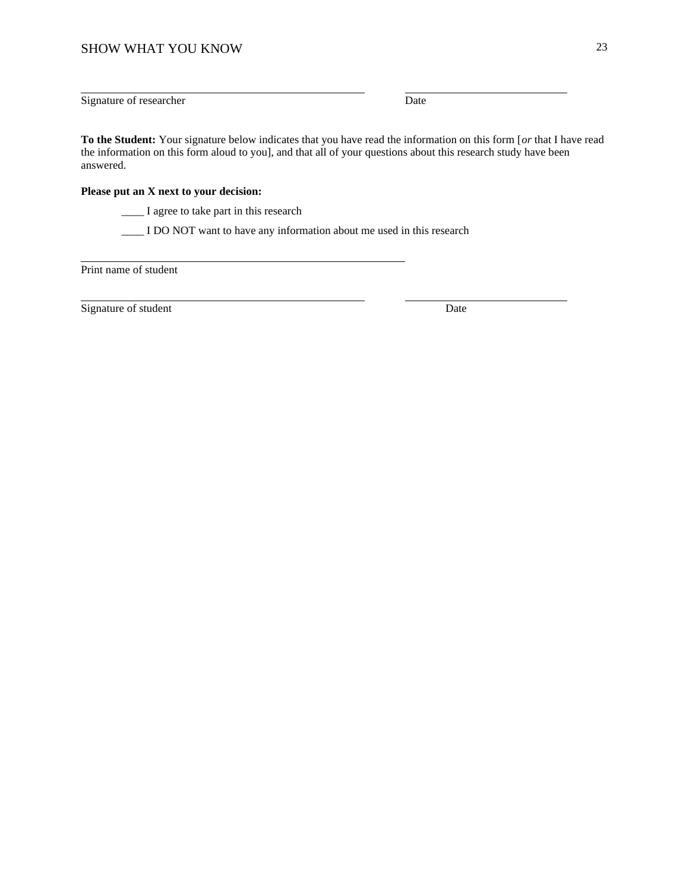Signature of researcher Date

**To the Student:** Your signature below indicates that you have read the information on this form [*or* that I have read the information on this form aloud to you], and that all of your questions about this research study have been answered.

#### **Please put an X next to your decision:**

\_\_\_\_ I agree to take part in this research

\_\_\_\_ I DO NOT want to have any information about me used in this research

Print name of student

Signature of student Date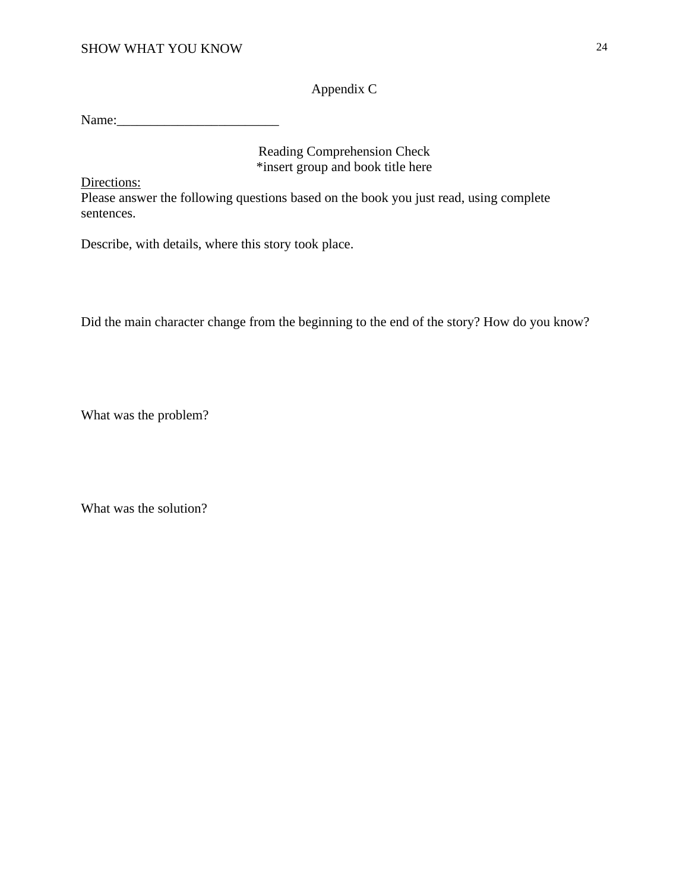Appendix C

Name:\_\_\_\_\_\_\_\_\_\_\_\_\_\_\_\_\_\_\_\_\_\_\_\_

Reading Comprehension Check \*insert group and book title here

Directions:

Please answer the following questions based on the book you just read, using complete sentences.

Describe, with details, where this story took place.

Did the main character change from the beginning to the end of the story? How do you know?

What was the problem?

What was the solution?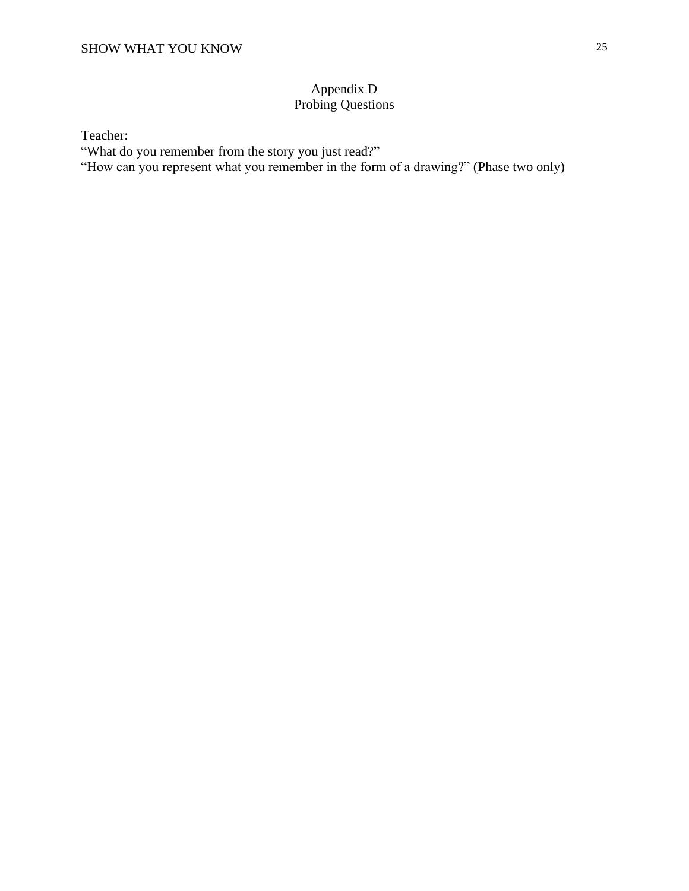# Appendix D Probing Questions

Teacher:

"What do you remember from the story you just read?"

"How can you represent what you remember in the form of a drawing?" (Phase two only)